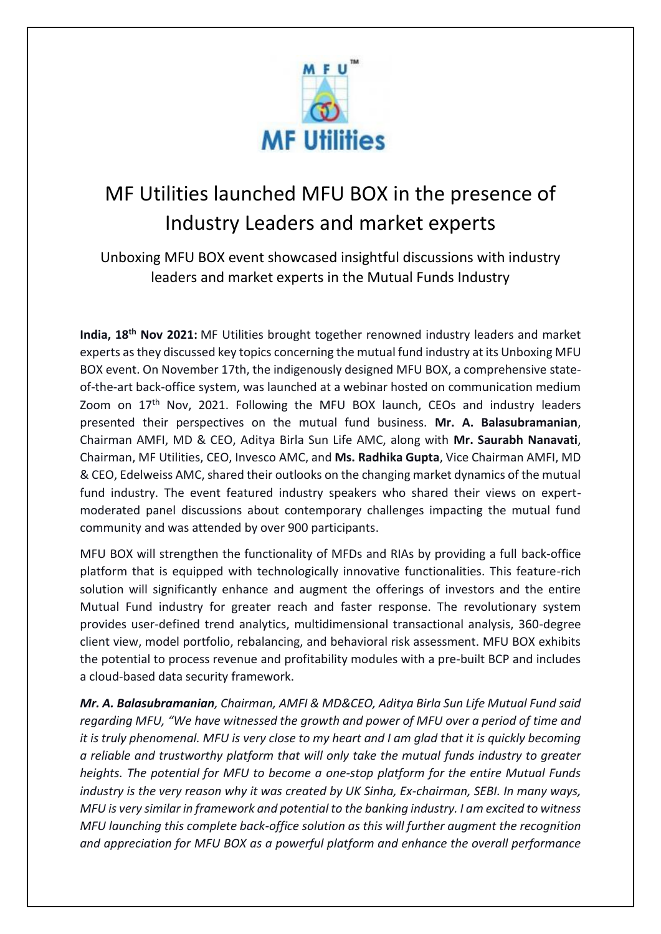

## MF Utilities launched MFU BOX in the presence of Industry Leaders and market experts

Unboxing MFU BOX event showcased insightful discussions with industry leaders and market experts in the Mutual Funds Industry

India, 18<sup>th</sup> Nov 2021: MF Utilities brought together renowned industry leaders and market experts as they discussed key topics concerning the mutual fund industry at its Unboxing MFU BOX event. On November 17th, the indigenously designed MFU BOX, a comprehensive stateof-the-art back-office system, was launched at a webinar hosted on communication medium Zoom on 17<sup>th</sup> Nov, 2021. Following the MFU BOX launch, CEOs and industry leaders presented their perspectives on the mutual fund business. **Mr. A. Balasubramanian**, Chairman AMFI, MD & CEO, Aditya Birla Sun Life AMC, along with **Mr. Saurabh Nanavati**, Chairman, MF Utilities, CEO, Invesco AMC, and **Ms. Radhika Gupta**, Vice Chairman AMFI, MD & CEO, Edelweiss AMC, shared their outlooks on the changing market dynamics of the mutual fund industry. The event featured industry speakers who shared their views on expertmoderated panel discussions about contemporary challenges impacting the mutual fund community and was attended by over 900 participants.

MFU BOX will strengthen the functionality of MFDs and RIAs by providing a full back-office platform that is equipped with technologically innovative functionalities. This feature-rich solution will significantly enhance and augment the offerings of investors and the entire Mutual Fund industry for greater reach and faster response. The revolutionary system provides user-defined trend analytics, multidimensional transactional analysis, 360-degree client view, model portfolio, rebalancing, and behavioral risk assessment. MFU BOX exhibits the potential to process revenue and profitability modules with a pre-built BCP and includes a cloud-based data security framework.

*Mr. A. Balasubramanian, Chairman, AMFI & MD&CEO, Aditya Birla Sun Life Mutual Fund said regarding MFU, "We have witnessed the growth and power of MFU over a period of time and it is truly phenomenal. MFU is very close to my heart and I am glad that it is quickly becoming a reliable and trustworthy platform that will only take the mutual funds industry to greater heights. The potential for MFU to become a one-stop platform for the entire Mutual Funds industry is the very reason why it was created by UK Sinha, Ex-chairman, SEBI. In many ways, MFU is very similar in framework and potential to the banking industry. I am excited to witness MFU launching this complete back-office solution as this will further augment the recognition and appreciation for MFU BOX as a powerful platform and enhance the overall performance*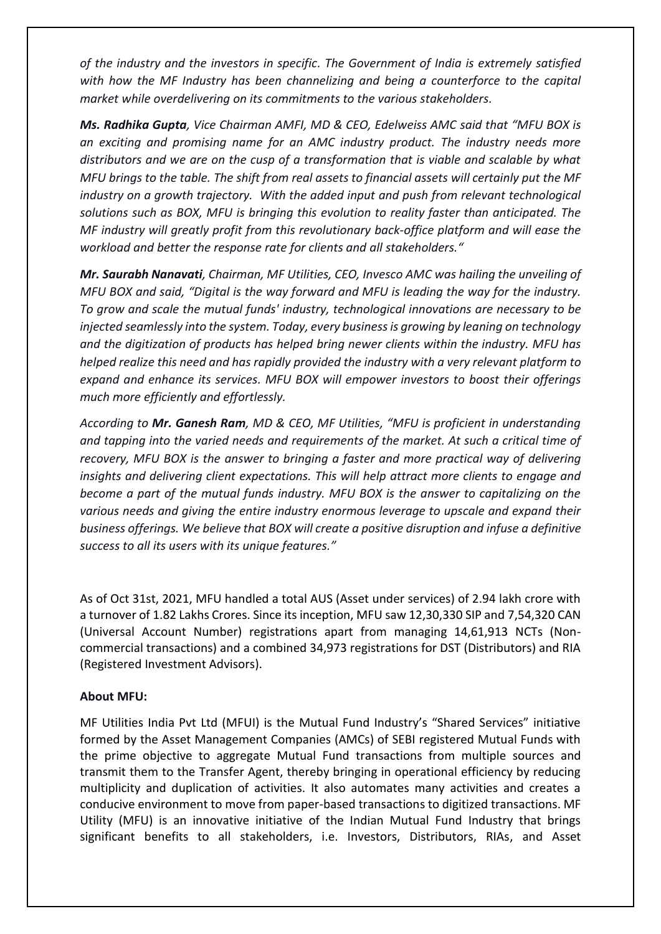*of the industry and the investors in specific. The Government of India is extremely satisfied with how the MF Industry has been channelizing and being a counterforce to the capital market while overdelivering on its commitments to the various stakeholders.* 

*Ms. Radhika Gupta, Vice Chairman AMFI, MD & CEO, Edelweiss AMC said that "MFU BOX is an exciting and promising name for an AMC industry product. The industry needs more distributors and we are on the cusp of a transformation that is viable and scalable by what MFU brings to the table. The shift from real assets to financial assets will certainly put the MF industry on a growth trajectory. With the added input and push from relevant technological solutions such as BOX, MFU is bringing this evolution to reality faster than anticipated. The MF industry will greatly profit from this revolutionary back-office platform and will ease the workload and better the response rate for clients and all stakeholders."*

*Mr. Saurabh Nanavati, Chairman, MF Utilities, CEO, Invesco AMC was hailing the unveiling of MFU BOX and said, "Digital is the way forward and MFU is leading the way for the industry. To grow and scale the mutual funds' industry, technological innovations are necessary to be injected seamlessly into the system. Today, every business is growing by leaning on technology and the digitization of products has helped bring newer clients within the industry. MFU has helped realize this need and has rapidly provided the industry with a very relevant platform to expand and enhance its services. MFU BOX will empower investors to boost their offerings much more efficiently and effortlessly.* 

*According to Mr. Ganesh Ram, MD & CEO, MF Utilities, "MFU is proficient in understanding and tapping into the varied needs and requirements of the market. At such a critical time of recovery, MFU BOX is the answer to bringing a faster and more practical way of delivering insights and delivering client expectations. This will help attract more clients to engage and become a part of the mutual funds industry. MFU BOX is the answer to capitalizing on the various needs and giving the entire industry enormous leverage to upscale and expand their business offerings. We believe that BOX will create a positive disruption and infuse a definitive success to all its users with its unique features."*

As of Oct 31st, 2021, MFU handled a total AUS (Asset under services) of 2.94 lakh crore with a turnover of 1.82 Lakhs Crores. Since its inception, MFU saw 12,30,330 SIP and 7,54,320 CAN (Universal Account Number) registrations apart from managing 14,61,913 NCTs (Noncommercial transactions) and a combined 34,973 registrations for DST (Distributors) and RIA (Registered Investment Advisors).

## **About MFU:**

MF Utilities India Pvt Ltd (MFUI) is the Mutual Fund Industry's "Shared Services" initiative formed by the Asset Management Companies (AMCs) of SEBI registered Mutual Funds with the prime objective to aggregate Mutual Fund transactions from multiple sources and transmit them to the Transfer Agent, thereby bringing in operational efficiency by reducing multiplicity and duplication of activities. It also automates many activities and creates a conducive environment to move from paper-based transactions to digitized transactions. MF Utility (MFU) is an innovative initiative of the Indian Mutual Fund Industry that brings significant benefits to all stakeholders, i.e. Investors, Distributors, RIAs, and Asset